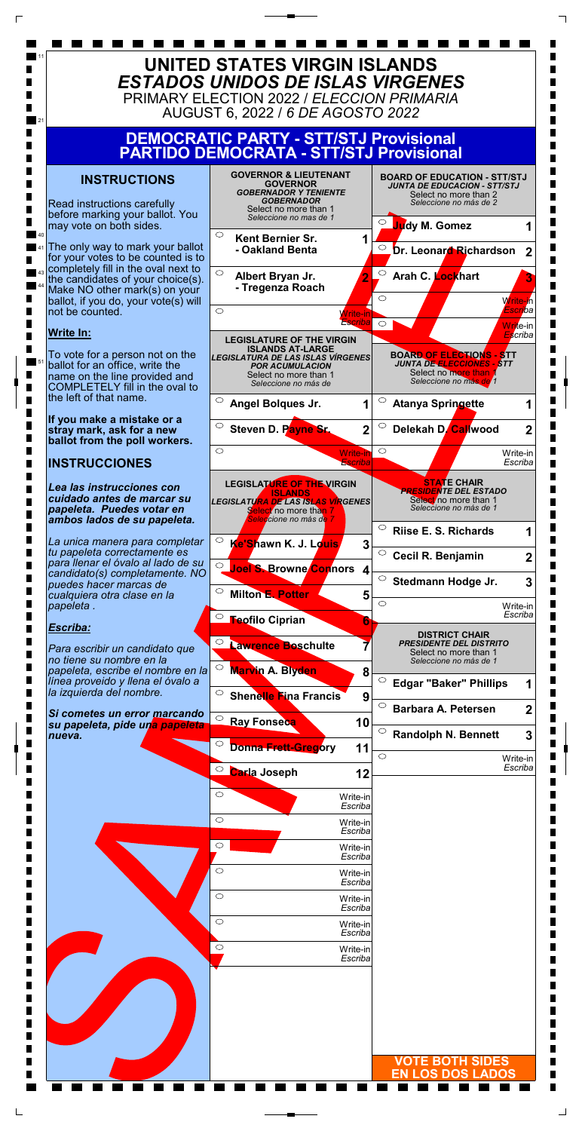|                     | ESCriba                           |                         |
|---------------------|-----------------------------------|-------------------------|
|                     | $\bigcirc$<br>Write-in<br>Escriba |                         |
|                     | $\circ$<br>Write-in<br>Escriba    |                         |
| П                   | $\bigcirc$<br>Write-in<br>Escriba |                         |
| Ш                   | $\circ$<br>Write-in<br>Escriba    |                         |
| П                   | $\circ$<br>Write-in<br>Escriba    |                         |
| П<br>$\blacksquare$ | $\circ$<br>Write-in<br>Escriba    |                         |
| П<br>П              |                                   |                         |
| Ш<br>П              |                                   |                         |
| П<br>П              |                                   |                         |
| П                   |                                   | <b>VOTE BOTH SIDES</b>  |
|                     |                                   | <b>EN LOS DOS LADOS</b> |
|                     |                                   |                         |

П  $\blacksquare$ 



 $\Gamma$ 

 $\sqcup$